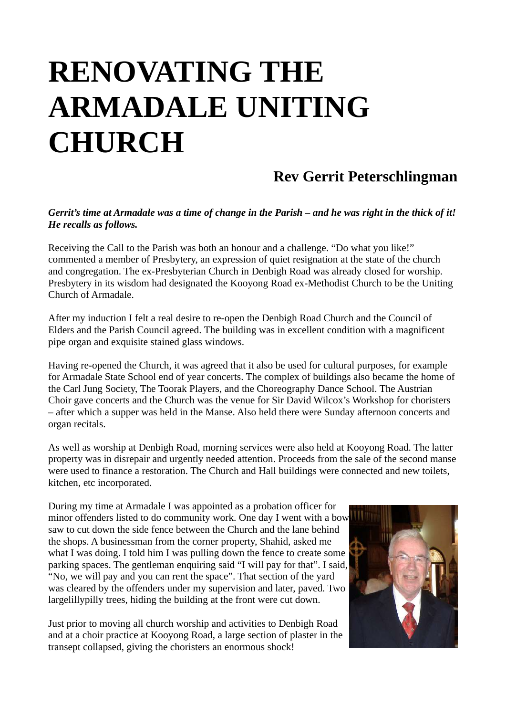## **RENOVATING THE ARMADALE UNITING CHURCH**

## **Rev Gerrit Peterschlingman**

## *Gerrit's time at Armadale was a time of change in the Parish – and he was right in the thick of it! He recalls as follows.*

Receiving the Call to the Parish was both an honour and a challenge. "Do what you like!" commented a member of Presbytery, an expression of quiet resignation at the state of the church and congregation. The ex-Presbyterian Church in Denbigh Road was already closed for worship. Presbytery in its wisdom had designated the Kooyong Road ex-Methodist Church to be the Uniting Church of Armadale.

After my induction I felt a real desire to re-open the Denbigh Road Church and the Council of Elders and the Parish Council agreed. The building was in excellent condition with a magnificent pipe organ and exquisite stained glass windows.

Having re-opened the Church, it was agreed that it also be used for cultural purposes, for example for Armadale State School end of year concerts. The complex of buildings also became the home of the Carl Jung Society, The Toorak Players, and the Choreography Dance School. The Austrian Choir gave concerts and the Church was the venue for Sir David Wilcox's Workshop for choristers – after which a supper was held in the Manse. Also held there were Sunday afternoon concerts and organ recitals.

As well as worship at Denbigh Road, morning services were also held at Kooyong Road. The latter property was in disrepair and urgently needed attention. Proceeds from the sale of the second manse were used to finance a restoration. The Church and Hall buildings were connected and new toilets, kitchen, etc incorporated.

During my time at Armadale I was appointed as a probation officer for minor offenders listed to do community work. One day I went with a bow saw to cut down the side fence between the Church and the lane behind the shops. A businessman from the corner property, Shahid, asked me what I was doing. I told him I was pulling down the fence to create some parking spaces. The gentleman enquiring said "I will pay for that". I said, "No, we will pay and you can rent the space". That section of the yard was cleared by the offenders under my supervision and later, paved. Two largelillypilly trees, hiding the building at the front were cut down.

Just prior to moving all church worship and activities to Denbigh Road and at a choir practice at Kooyong Road, a large section of plaster in the transept collapsed, giving the choristers an enormous shock!